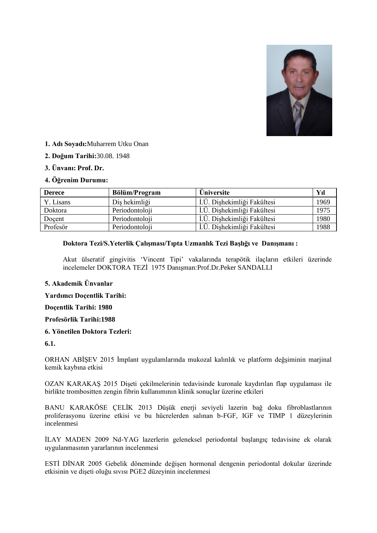

- **1. Adı Soyadı:**Muharrem Utku Onan
- **2. Doğum Tarihi:**30.08. 1948
- **3. Ünvanı: Prof. Dr.**

## **4. Öğrenim Durumu:**

| <b>Derece</b> | <b>Bölüm/Program</b> | <b>Üniversite</b>             | Yıl  |
|---------------|----------------------|-------------------------------|------|
| Y. Lisans     | Diş hekimliği        | İ.Ü. Dişhekimliği Fakültesi   | 1969 |
| Doktora       | Periodontoloji       | I.Ü. Dişhekimliği Fakültesi   | 1975 |
| Doçent        | Periodontoloji       | LÜ. Dişhekimliği Fakültesi    | 1980 |
| Profesör      | Periodontoloji       | ı İ.Ü. Dişhekimliği Fakültesi | 1988 |

## **Doktora Tezi/S.Yeterlik Çalışması/Tıpta Uzmanlık Tezi Başlığı ve Danışmanı :**

Akut ülseratif gingivitis 'Vincent Tipi' vakalarında terapötik ilaçların etkileri üzerinde incelemeler DOKTORA TEZİ 1975 Danışman: Prof.Dr.Peker SANDALLI

## **5. Akademik Ünvanlar**

**Yardımcı Doçentlik Tarihi:** 

#### **Doçentlik Tarihi: 1980**

#### **Profesörlik Tarihi:1988**

## **6. Yönetilen Doktora Tezleri:**

### **6.1.**

ORHAN ABİŞEV 2015 İmplant uygulamlarında mukozal kalınlık ve platform değşiminin marjinal kemik kaybına etkisi

OZAN KARAKAŞ 2015 Dişeti çekilmelerinin tedavisinde kuronale kaydırılan flap uygulaması ile birlikte trombositten zengin fibrin kullanımının klinik sonuçlar üzerine etkileri

BANU KARAKÖSE ÇELİK 2013 Düşük enerji seviyeli lazerin bağ doku fibroblastlarının proliferasyonu üzerine etkisi ve bu hücrelerden salınan b-FGF, IGF ve TIMP 1 düzeylerinin incelenmesi

İLAY MADEN 2009 Nd-YAG lazerlerin geleneksel periodontal başlangıç tedavisine ek olarak uygulanmasının yararlarının incelenmesi

ESTİ DİNAR 2005 Gebelik döneminde değişen hormonal dengenin periodontal dokular üzerinde etkisinin ve dişeti oluğu sıvısı PGE2 düzeyinin incelenmesi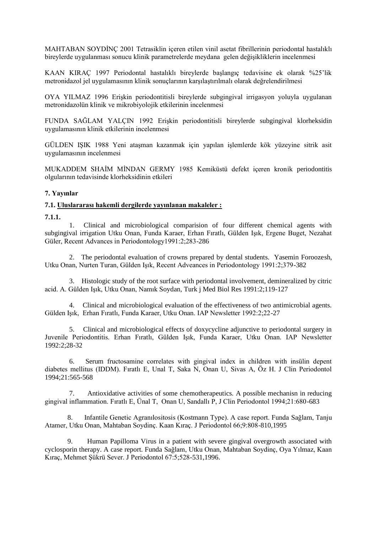MAHTABAN SOYDİNC 2001 Tetrasiklin içeren etilen vinil asetat fibrillerinin periodontal hastalıklı bireylerde uygulanması sonucu klinik parametrelerde meydana gelen değişikliklerin incelenmesi

KAAN KIRAÇ 1997 Periodontal hastalıklı bireylerde başlangıç tedavisine ek olarak %25'lik metronidazol jel uygulamasının klinik sonuçlarının karşılaştırılmalı olarak değrelendirilmesi

OYA YILMAZ 1996 EriĢkin periodontitisli bireylerde subgingival irrigasyon yoluyla uygulanan metronidazolün klinik ve mikrobiyolojik etkilerinin incelenmesi

FUNDA SAĞLAM YALÇIN 1992 Erişkin periodontitisli bireylerde subgingival klorheksidin uygulamasının klinik etkilerinin incelenmesi

GÜLDEN IġIK 1988 Yeni ataĢman kazanmak için yapılan iĢlemlerde kök yüzeyine sitrik asit uygulamasının incelenmesi

MUKADDEM SHAİM MİNDAN GERMY 1985 Kemiküstü defekt içeren kronik periodontitis olgularının tedavisinde klorheksidinin etkileri

## **7. Yayınlar**

## **7.1. Uluslararası hakemli dergilerde yayınlanan makaleler :**

**7.1.1.**

 1. Clinical and microbiological comparision of four different chemical agents with subgingival irrigation Utku Onan, Funda Karaer, Erhan Fıratlı, Gülden Işık, Ergene Buget, Nezahat Güler, Recent Advances in Periodontology1991:2;283-286

 2. The periodontal evaluation of crowns prepared by dental students. Yasemin Foroozesh, Utku Onan, Nurten Turan, Gülden IĢık, Recent Adveances in Periodontology 1991:2;379-382

 3. Histologic study of the root surface with periodontal involvement, demineralized by citric acid. A. Gülden IĢık, Utku Onan, Namık Soydan, Turk j Med Biol Res 1991:2;119-127

 4. Clinical and microbiological evaluation of the effectiveness of two antimicrobial agents. Gülden IĢık, Erhan Fıratlı, Funda Karaer, Utku Onan. IAP Newsletter 1992:2;22-27

 5. Clinical and microbiological effects of doxycycline adjunctive to periodontal surgery in Juvenile Periodontitis. Erhan Fıratlı, Gülden Işık, Funda Karaer, Utku Onan. IAP Newsletter 1992:2;28-32

 6. Serum fructosamine correlates with gingival index in children with insülin depent diabetes mellitus (IDDM). Fıratlı E, Unal T, Saka N, Onan U, Sivas A, Öz H. J Clin Periodontol 1994;21:565-568

 7. Antioxidative activities of some chemotherapeutics. A possible mechanisn in reducing gingival inflammation. Fıratlı E, Ünal T, Onan U, Sandallı P, J Clin Periodontol 1994;21:680-683

 8. Infantile Genetic Agranılositosis (Kostmann Type). A case report. Funda Sağlam, Tanju Atamer, Utku Onan, Mahtaban Soydinç. Kaan Kıraç. J Periodontol 66;9:808-810,1995

 9. Human Papilloma Virus in a patient with severe gingival overgrowth associated with cyclosporin therapy. A case report. Funda Sağlam, Utku Onan, Mahtaban Soydinç, Oya Yılmaz, Kaan Kıraç, Mehmet ġükrü Sever. J Periodontol 67:5;528-531,1996.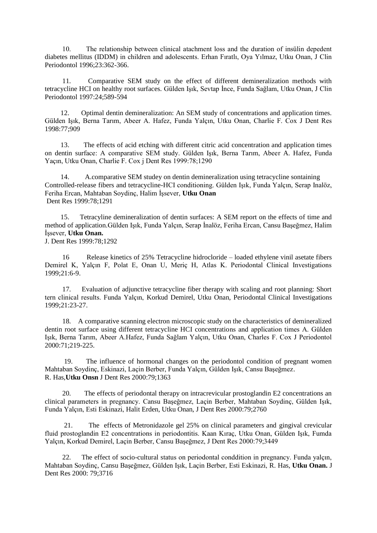10. The relationship between clinical atachment loss and the duration of insülin depedent diabetes mellitus (IDDM) in children and adolescents. Erhan Fıratlı, Oya Yılmaz, Utku Onan, J Clin Periodontol 1996;23:362-366.

 11. Comparative SEM study on the effect of different demineralization methods with tetracycline HCI on healthy root surfaces. Gülden Isık, Sevtap İnce, Funda Sağlam, Utku Onan, J Clin Periodontol 1997:24;589-594

 12. Optimal dentin demineralization: An SEM study of concentrations and application times. Gülden IĢık, Berna Tarım, Abeer A. Hafez, Funda Yalçın, Utku Onan, Charlie F. Cox J Dent Res 1998:77;909

 13. The effects of acid etching with different citric acid concentration and application times on dentin surface: A comparative SEM study. Gülden Isık, Berna Tarım, Abeer A. Hafez, Funda Yaçın, Utku Onan, Charlie F. Cox j Dent Res 1999:78;1290

 14. A.comparative SEM studey on dentin demineralization using tetracycline sontaining Controlled-release fibers and tetracycline-HCI conditioning. Gülden Işık, Funda Yalçın, Serap Inalöz, Feriha Ercan, Mahtaban Soydinç, Halim İşsever, Utku Onan Dent Res 1999:78;1291

 15. Tetracyline demineralization of dentin surfaces: A SEM report on the effects of time and method of application.Gülden Işık, Funda Yalçın, Serap İnalöz, Feriha Ercan, Cansu Başeğmez, Halim İssever, **Utku Onan.** 

J. Dent Res 1999:78;1292

 16 Release kinetics of 25% Tetracycline hidrocloride – loaded ethylene vinil asetate fibers Demirel K, Yalçın F, Polat E, Onan U, Meriç H, Atlas K. Periodontal Clinical Investigations 1999;21:6-9.

 17. Evaluation of adjunctive tetracycline fiber therapy with scaling and root planning: Short tern clinical results. Funda Yalçın, Korkud Demirel, Utku Onan, Periodontal Clinical Investigations 1999;21:23-27.

 18. A comparative scanning electron microscopic study on the characteristics of demineralized dentin root surface using different tetracycline HCI concentrations and application times A. Gülden IĢık, Berna Tarım, Abeer A.Hafez, Funda Sağlam Yalçın, Utku Onan, Charles F. Cox J Periodontol 2000:71;219-225.

 19. The influence of hormonal changes on the periodontol condition of pregnant women Mahtaban Soydinç, Eskinazi, Laçin Berber, Funda Yalçın, Gülden Işık, Cansu Başeğmez. R. Has,**Utku Onsn** J Dent Res 2000:79;1363

 20. The effects of periodontal therapy on intracrevicular prostoglandin E2 concentrations an clinical parameters in pregnancy. Cansu BaĢeğmez, Laçin Berber, Mahtaban Soydinç, Gülden IĢık, Funda Yalçın, Esti Eskinazi, Halit Erden, Utku Onan, J Dent Res 2000:79;2760

 21. The effects of Metronidazole gel 25% on clinical parameters and gingival crevicular fluid prostoglandin E2 concentrations in periodontitis. Kaan Kıraç, Utku Onan, Gülden Işık, Fumda Yalçın, Korkud Demirel, Laçin Berber, Cansu Başeğmez, J Dent Res 2000:79;3449

 22. The effect of socio-cultural status on periodontal conddition in pregnancy. Funda yalçın, Mahtaban Soydinç, Cansu BaĢeğmez, Gülden IĢık, Laçin Berber, Esti Eskinazi, R. Has, **Utku Onan.** J Dent Res 2000: 79;3716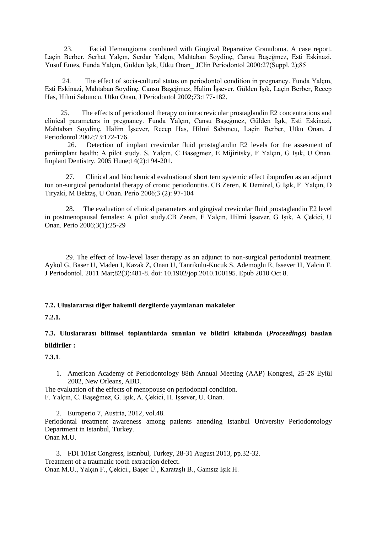23. Facial Hemangioma combined with Gingival Reparative Granuloma. A case report. Laçin Berber, Serhat Yalçın, Serdar Yalçın, Mahtaban Soydinç, Cansu Başeğmez, Esti Eskinazi, Yusuf Emes, Funda Yalçın, Gülden IĢık, Utku Onan\_ JClin Periodontol 2000:27(Suppl. 2);85

 24. The effect of socia-cultural status on periodontol condition in pregnancy. Funda Yalçın, Esti Eskinazi, Mahtaban Soydinc, Cansu Baseğmez, Halim İssever, Gülden Isık, Lacin Berber, Recep Has, Hilmi Sabuncu. Utku Onan, J Periodontol 2002;73:177-182.

 25. The effects of periodontol therapy on intracrevicular prostaglandin E2 concentrations and clinical parameters in pregnancy. Funda Yalçın, Cansu BaĢeğmez, Gülden IĢık, Esti Eskinazi, Mahtaban Soydinç, Halim İşsever, Recep Has, Hilmi Sabuncu, Laçin Berber, Utku Onan. J Periodontol 2002;73:172-176.

 26. Detection of implant crevicular fluid prostaglandin E2 levels for the assesment of periimplant health: A pilot study. S. Yalçın, C Basegmez, E Mijiritsky, F Yalçın, G IĢık, U Onan. Implant Dentistry. 2005 Hune;14(2):194-201.

 27. Clinical and biochemical evaluationof short tern systemic effect ibuprofen as an adjunct ton on-surgical periodontal therapy of cronic periodontitis. CB Zeren, K Demirel, G IĢık, F Yalçın, D Tiryaki, M BektaĢ, U Onan. Perio 2006;3 (2): 97-104

 28. The evaluation of clinical parameters and gingival crevicular fluid prostaglandin E2 level in postmenopausal females: A pilot study.CB Zeren, F Yalçın, Hilmi İşsever, G Işık, A Çekici, U Onan. Perio 2006;3(1):25-29

 29. The effect of low-level laser therapy as an adjunct to non-surgical periodontal treatment. Aykol G, Baser U, Maden I, Kazak Z, Onan U, Tanrikulu-Kucuk S, Ademoglu E, Issever H, Yalcin F. J Periodontol. 2011 Mar;82(3):481-8. doi: 10.1902/jop.2010.100195. Epub 2010 Oct 8.

#### **7.2. Uluslararası diğer hakemli dergilerde yayınlanan makaleler**

**7.2.1.** 

**7.3. Uluslararası bilimsel toplantılarda sunulan ve bildiri kitabında (***Proceedings***) basılan bildiriler :**

**7.3.1**.

1. American Academy of Periodontology 88th Annual Meeting (AAP) Kongresi, 25-28 Eylül 2002, New Orleans, ABD.

The evaluation of the effects of menopouse on periodontal condition. F. Yalçın, C. Başeğmez, G. Işık, A. Çekici, H. İşsever, U. Onan.

2. Europerio 7, Austria, 2012, vol.48. Periodontal treatment awareness among patients attending Istanbul University Periodontology Department in Istanbul, Turkey. Onan M.U.

3. FDI 101st Congress, Istanbul, Turkey, 28-31 August 2013, pp.32-32. Treatment of a traumatic tooth extraction defect. Onan M.U., Yalçın F., Çekici., BaĢer Ü., KarataĢlı B., Gamsız IĢık H.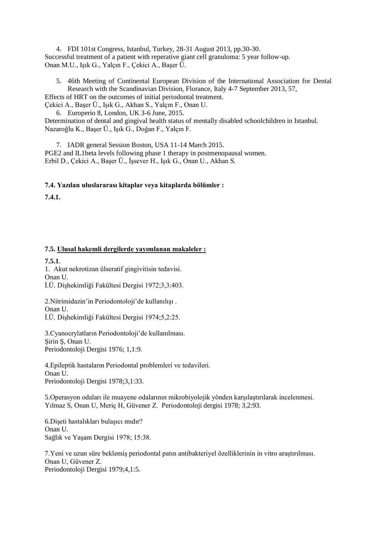4. FDI 101st Congress, Istanbul, Turkey, 28-31 August 2013, pp.30-30. Successful treatment of a patient with reperative giant cell granuloma: 5 year follow-up. Onan M.U., Işık G., Yalçın F., Çekici A., Başer Ü.

5. 46th Meeting of Continental European Division of the International Association for Dental Research with the Scandinavian Division, Florance, Italy 4-7 September 2013, 57, Effects of HRT on the outcomes of initial periodontal treatment.

Çekici A., Baser Ü., Isık G., Akhan S., Yalçın F., Onan U.

6. Europerio 8, London, UK 3-6 June, 2015. Determination of dental and gingival health status of mentally disabled schoolchildren in Istanbul. Nazaroğlu K., Başer Ü., Işık G., Doğan F., Yalçın F.

7. IADR general Session Boston, USA 11-14 March 2015. PGE2 and IL1beta levels following phase 1 therapy in postmenopausal women. Erbil D., Çekici A., Başer Ü., İşsever H., Işık G., Onan U., Akhan S.

## **7.4. Yazılan uluslararası kitaplar veya kitaplarda bölümler :**

**7.4.1.**

## **7.5. Ulusal hakemli dergilerde yayımlanan makaleler :**

**7.5.1**.

1. Akut nekrotizan ülseratif gingivitisin tedavisi. Onan U. İ.Ü. Dişhekimliği Fakültesi Dergisi 1972;3,3:403.

2. Nitrimidazin'in Periodontoloji'de kullanılışı. Onan U. İ.Ü. Dişhekimliği Fakültesi Dergisi 1974;5,2:25.

3.Cyanocrylatların Periodontoloji'de kullanılması. ġirin ġ, Onan U. Periodontoloji Dergisi 1976; 1,1:9.

4.Epileptik hastaların Periodontal problemleri ve tedavileri. Onan U. Periodontoloji Dergisi 1978;3,1:33.

5. Operasyon odaları ile muayene odalarının mikrobiyolojik yönden karşılaştırılarak incelenmesi. Yılmaz S, Onan U, Meriç H, Güvener Z. Periodontoloji dergisi 1978; 3,2:93.

6.Dişeti hastalıkları bulaşıcı mıdır? Onan U. Sağlık ve Yaşam Dergisi 1978; 15:38.

7.Yeni ve uzun süre beklemiş periodontal patın antibakteriyel özelliklerinin in vitro araştırılması. Onan U, Güvener Z. Periodontoloji Dergisi 1979;4,1:5.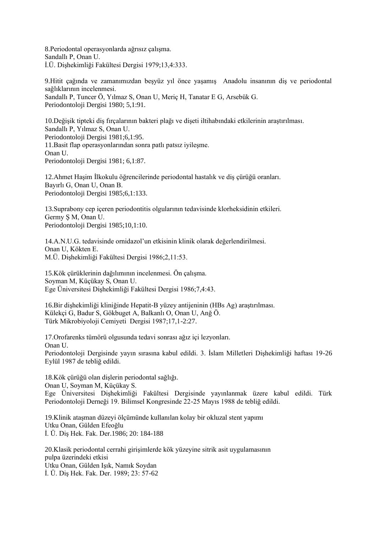8.Periodontal operasyonlarda ağrısız çalışma. Sandallı P, Onan U. İ.Ü. Dişhekimliği Fakültesi Dergisi 1979;13,4:333.

9. Hitit çağında ve zamanımızdan beşyüz yıl önce yaşamış Anadolu insanının diş ve periodontal sağlıklarının incelenmesi. Sandallı P, Tuncer Ö, Yılmaz S, Onan U, Meriç H, Tanatar E G, Arsebük G. Periodontoloji Dergisi 1980; 5,1:91.

10.Değişik tipteki diş fırçalarının bakteri plağı ve dişeti iltihabındaki etkilerinin araştırılması. Sandallı P, Yılmaz S, Onan U. Periodontoloji Dergisi 1981;6,1:95. 11.Basit flap operasyonlarından sonra patlı patsız iyileşme. Onan U. Periodontoloji Dergisi 1981; 6,1:87.

12. Ahmet Haşim İlkokulu öğrencilerinde periodontal hastalık ve diş çürüğü oranları. Bayırlı G, Onan U, Onan B. Periodontoloji Dergisi 1985;6,1:133.

13.Suprabony cep içeren periodontitis olgularının tedavisinde klorheksidinin etkileri. Germy S M, Onan U. Periodontoloji Dergisi 1985;10,1:10.

14.A.N.U.G. tedavisinde ornidazol'un etkisinin klinik olarak değerlendirilmesi. Onan U, Kökten E. M.Ü. DiĢhekimliği Fakültesi Dergisi 1986;2,11:53.

15.Kök çürüklerinin dağılımının incelenmesi. Ön çalışma. Soyman M, Küçükay S, Onan U. Ege Üniversitesi DiĢhekimliği Fakültesi Dergisi 1986;7,4:43.

16.Bir dişhekimliği kliniğinde Hepatit-B yüzey antijeninin (HBs Ag) araştırılması. Külekçi G, Badur S, Gökbuget A, Balkanlı O, Onan U, Anğ Ö. Türk Mikrobiyoloji Cemiyeti Dergisi 1987;17,1-2:27.

17.Orofarenks tümörü olgusunda tedavi sonrası ağız içi lezyonları. Onan U. Periodontoloji Dergisinde yayın sırasına kabul edildi. 3. İslam Milletleri Dishekimliği haftası 19-26 Eylül 1987 de tebliğ edildi.

18.Kök çürüğü olan diĢlerin periodontal sağlığı. Onan U, Soyman M, Küçükay S. Ege Üniversitesi DiĢhekimliği Fakültesi Dergisinde yayınlanmak üzere kabul edildi. Türk Periodontoloji Derneği 19. Bilimsel Kongresinde 22-25 Mayıs 1988 de tebliğ edildi.

19.Klinik ataĢman düzeyi ölçümünde kullanılan kolay bir okluzal stent yapımı Utku Onan, Gülden Efeoğlu İ. Ü. Diş Hek. Fak. Der. 1986; 20: 184-188

20.Klasik periodontal cerrahi giriĢimlerde kök yüzeyine sitrik asit uygulamasının pulpa üzerindeki etkisi Utku Onan, Gülden IĢık, Namık Soydan İ. Ü. Diş Hek. Fak. Der. 1989; 23: 57-62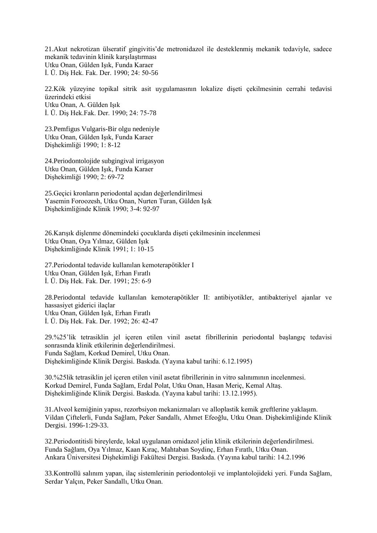21.Akut nekrotizan ülseratif gingivitis'de metronidazol ile desteklenmiş mekanik tedaviyle, sadece mekanik tedavinin klinik karşılaştırması Utku Onan, Gülden Işık, Funda Karaer İ. Ü. Diş Hek. Fak. Der. 1990; 24: 50-56

22.Kök yüzeyine topikal sitrik asit uygulamasının lokalize diĢeti çekilmesinin cerrahi tedavisi üzerindeki etkisi Utku Onan, A. Gülden Isık İ. Ü. Diş Hek.Fak. Der. 1990; 24: 75-78

23.Pemfigus Vulgaris-Bir olgu nedeniyle Utku Onan, Gülden Isık, Funda Karaer DiĢhekimliği 1990; 1: 8-12

24.Periodontolojide subgingival irrigasyon Utku Onan, Gülden IĢık, Funda Karaer Dişhekimliği 1990; 2: 69-72

25.Geçici kronların periodontal açıdan değerlendirilmesi Yasemin Foroozesh, Utku Onan, Nurten Turan, Gülden IĢık DiĢhekimliğinde Klinik 1990; 3-4: 92-97

26.Karısık dişlenme dönemindeki çocuklarda dişeti çekilmesinin incelenmesi Utku Onan, Oya Yılmaz, Gülden IĢık Dişhekimliğinde Klinik 1991; 1: 10-15

27.Periodontal tedavide kullanılan kemoterapötikler I Utku Onan, Gülden IĢık, Erhan Fıratlı İ. Ü. Dis Hek. Fak. Der. 1991; 25: 6-9

28.Periodontal tedavide kullanılan kemoterapötikler II: antibiyotikler, antibakteriyel ajanlar ve hassasiyet giderici ilaçlar Utku Onan, Gülden Işık, Erhan Fıratlı İ. Ü. Diş Hek. Fak. Der. 1992; 26: 42-47

29.%25'lik tetrasiklin jel içeren etilen vinil asetat fibrillerinin periodontal baĢlangıç tedavisi sonrasında klinik etkilerinin değerlendirilmesi. Funda Sağlam, Korkud Demirel, Utku Onan. DiĢhekimliğinde Klinik Dergisi. Baskıda. (Yayına kabul tarihi: 6.12.1995)

30.%25lik tetrasiklin jel içeren etilen vinil asetat fibrillerinin in vitro salınımının incelenmesi. Korkud Demirel, Funda Sağlam, Erdal Polat, Utku Onan, Hasan Meriç, Kemal Altas. DiĢhekimliğinde Klinik Dergisi. Baskıda. (Yayına kabul tarihi: 13.12.1995).

31.Alveol kemiğinin yapısı, rezorbsiyon mekanizmaları ve alloplastik kemik greftlerine yaklaşım. Vildan Çiftelerli, Funda Sağlam, Peker Sandallı, Ahmet Efeoğlu, Utku Onan. DiĢhekimliğinde Klinik Dergisi. 1996-1:29-33.

32.Periodontitisli bireylerde, lokal uygulanan ornidazol jelin klinik etkilerinin değerlendirilmesi. Funda Sağlam, Oya Yılmaz, Kaan Kıraç, Mahtaban Soydinç, Erhan Fıratlı, Utku Onan. Ankara Üniversitesi DiĢhekimliği Fakültesi Dergisi. Baskıda. (Yayına kabul tarihi: 14.2.1996

33.Kontrollü salınım yapan, ilaç sistemlerinin periodontoloji ve implantolojideki yeri. Funda Sağlam, Serdar Yalçın, Peker Sandallı, Utku Onan.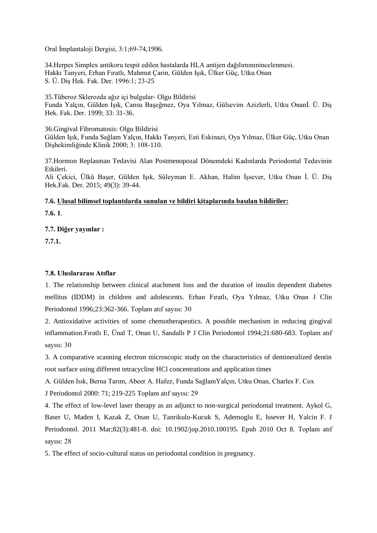Oral İmplantaloji Dergisi, 3:1;69-74,1996.

34.Herpes Simplex antikoru tespit edilen hastalarda HLA antijen dağılımınınincelenmesi. Hakkı Tanyeri, Erhan Fıratlı, Mahmut Çarin, Gülden IĢık, Ülker Güç, Utku Onan S. Ü. DiĢ Hek. Fak. Der. 1996:1; 23-25

35.Tüberoz Sklerozda ağız içi bulgular- Olgu Bildirisi Funda Yalçın, Gülden Işık, Cansu Başeğmez, Oya Yılmaz, Gülsevim Azizlerli, Utku Onanİ. Ü. Diş Hek. Fak. Der. 1999; 33: 31-36.

36.Gingival Fibromatosis: Olgu Bildirisi Gülden Işık, Funda Sağlam Yalçın, Hakkı Tanyeri, Esti Eskinazi, Oya Yılmaz, Ülker Güç, Utku Onan DiĢhekimliğinde Klinik 2000; 3: 108-110.

37.Hormon Replasman Tedavisi Alan Postmenopozal Dönemdeki Kadınlarda Periodontal Tedavinin Etkileri.

Ali Çekici, Ülkü Başer, Gülden Işık, Süleyman E. Akhan, Halim İşsever, Utku Onan İ. Ü. Diş Hek.Fak. Der. 2015; 49(3): 39-44.

# **7.6. Ulusal bilimsel toplantılarda sunulan ve bildiri kitaplarında basılan bildiriler: 7.6. 1**.

**7.7. Diğer yayınlar :**

**7.7.1.**

## **7.8. Uluslararası Atıflar**

1. The relationship between clinical atachment loss and the duration of insulin dependent diabetes mellitus (IDDM) in children and adolescents. Erhan Fıratlı, Oya Yılmaz, Utku Onan J Clin Periodontol 1996;23:362-366. Toplam atıf sayısı: 30

2. Antioxidative activities of some chemotherapeutics. A possible mechanism in reducing gingival inflammation.Fıratlı E, Ünal T, Onan U, Sandallı P J Clin Periodontol 1994;21:680-683. Toplam atıf sayısı: 30

3. A comparative scanning electron microscopic study on the characteristics of demineralized dentin root surface using different tetracycline HCl concentrations and application times

A. Gülden Isık, Berna Tarım, Abeer A. Hafez, Funda SağlamYalçın, Utku Onan, Charles F. Cox

J Periodontol 2000: 71; 219-225 Toplam atıf sayısı: 29

4. The effect of low-level laser therapy as an adjunct to non-surgical periodontal treatment. Aykol G, Baser U, Maden I, Kazak Z, Onan U, Tanrikulu-Kucuk S, Ademoglu E, Issever H, Yalcin F. J Periodontol. 2011 Mar;82(3):481-8. doi: 10.1902/jop.2010.100195. Epub 2010 Oct 8. Toplam atıf sayısı: 28

5. The effect of socio-cultural status on periodontal condition in pregnancy.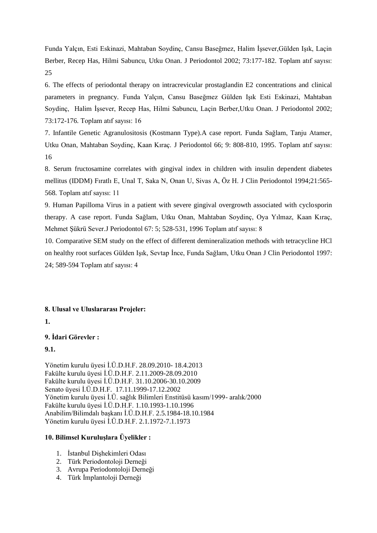Funda Yalçın, Esti Eskinazi, Mahtaban Soydinç, Cansu Baseğmez, Halim İşsever,Gülden Işık, Laçin Berber, Recep Has, Hilmi Sabuncu, Utku Onan. J Periodontol 2002; 73:177-182. Toplam atıf sayısı: 25

6. The effects of periodontal therapy on intracrevicular prostaglandin E2 concentrations and clinical parameters in pregnancy. Funda Yalçın, Cansu Baseğmez Gülden IĢık Esti Eskinazi, Mahtaban Soydinc, Halim İssever, Recep Has, Hilmi Sabuncu, Lacin Berber, Utku Onan. J Periodontol 2002; 73:172-176. Toplam atıf sayısı: 16

7. Infantile Genetic Agranulositosis (Kostmann Type).A case report. Funda Sağlam, Tanju Atamer, Utku Onan, Mahtaban Soydinç, Kaan Kıraç. J Periodontol 66; 9: 808-810, 1995. Toplam atıf sayısı: 16

8. Serum fructosamine correlates with gingival index in children with insulin dependent diabetes mellitus (IDDM) Fıratlı E, Unal T, Saka N, Onan U, Sivas A, Öz H. J Clin Periodontol 1994;21:565- 568. Toplam atıf sayısı: 11

9. Human Papilloma Virus in a patient with severe gingival overgrowth associated with cyclosporin therapy. A case report. Funda Sağlam, Utku Onan, Mahtaban Soydinç, Oya Yılmaz, Kaan Kıraç, Mehmet ġükrü Sever.J Periodontol 67: 5; 528-531, 1996 Toplam atıf sayısı: 8

10. Comparative SEM study on the effect of different demineralization methods with tetracycline HCl on healthy root surfaces Gülden Isık, Sevtap İnce, Funda Sağlam, Utku Onan J Clin Periodontol 1997: 24; 589-594 Toplam atıf sayısı: 4

### **8. Ulusal ve Uluslararası Projeler:**

## **1.**

### **9. Ġdari Görevler :**

#### **9.1.**

Yönetim kurulu üyesi İ.Ü.D.H.F. 28.09.2010- 18.4.2013 Fakülte kurulu üyesi İ.Ü.D.H.F. 2.11.2009-28.09.2010 Fakülte kurulu üyesi İ.Ü.D.H.F. 31.10.2006-30.10.2009 Senato üyesi İ.Ü.D.H.F. 17.11.1999-17.12.2002 Yönetim kurulu üyesi İ.Ü. sağlık Bilimleri Enstitüsü kasım/1999- aralık/2000 Fakülte kurulu üyesi İ.Ü.D.H.F. 1.10.1993-1.10.1996 Anabilim/Bilimdalı başkanı İ.Ü.D.H.F. 2.5.1984-18.10.1984 Yönetim kurulu üyesi İ.Ü.D.H.F. 2.1.1972-7.1.1973

#### **10. Bilimsel Kuruluşlara Üyelikler :**

- 1. İstanbul Dishekimleri Odası
- 2. Türk Periodontoloji Derneği
- 3. Avrupa Periodontoloji Derneği
- 4. Türk İmplantoloji Derneği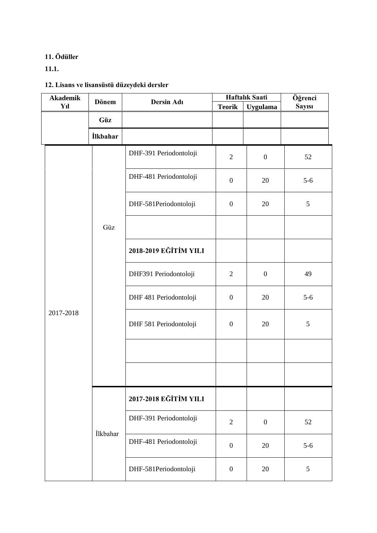# **11. Ödüller**

**11.1.**

# **12. Lisans ve lisansüstü düzeydeki dersler**

| <b>Akademik</b> | <b>Dönem</b>    | Dersin Adı             | Haftalık Saati   |                  | Öğrenci        |  |
|-----------------|-----------------|------------------------|------------------|------------------|----------------|--|
| Yıl             |                 |                        | <b>Teorik</b>    | <b>Uygulama</b>  | <b>Sayısı</b>  |  |
|                 | Güz             |                        |                  |                  |                |  |
|                 | <b>İlkbahar</b> |                        |                  |                  |                |  |
| 2017-2018       | Güz             | DHF-391 Periodontoloji | $\overline{2}$   | $\boldsymbol{0}$ | 52             |  |
|                 |                 | DHF-481 Periodontoloji | $\boldsymbol{0}$ | 20               | $5-6$          |  |
|                 |                 | DHF-581Periodontoloji  | $\boldsymbol{0}$ | 20               | 5              |  |
|                 |                 |                        |                  |                  |                |  |
|                 |                 | 2018-2019 EĞİTİM YILI  |                  |                  |                |  |
|                 |                 | DHF391 Periodontoloji  | $\mathfrak{2}$   | $\boldsymbol{0}$ | 49             |  |
|                 |                 | DHF 481 Periodontoloji | $\boldsymbol{0}$ | 20               | $5-6$          |  |
|                 |                 | DHF 581 Periodontoloji | $\boldsymbol{0}$ | 20               | $\mathfrak{S}$ |  |
|                 |                 |                        |                  |                  |                |  |
|                 |                 |                        |                  |                  |                |  |
|                 | İlkbahar        | 2017-2018 EĞİTİM YILI  |                  |                  |                |  |
|                 |                 | DHF-391 Periodontoloji | $\mathfrak{2}$   | $\boldsymbol{0}$ | 52             |  |
|                 |                 | DHF-481 Periodontoloji | $\boldsymbol{0}$ | 20               | $5-6$          |  |
|                 |                 | DHF-581Periodontoloji  | $\boldsymbol{0}$ | 20               | $\mathfrak{S}$ |  |